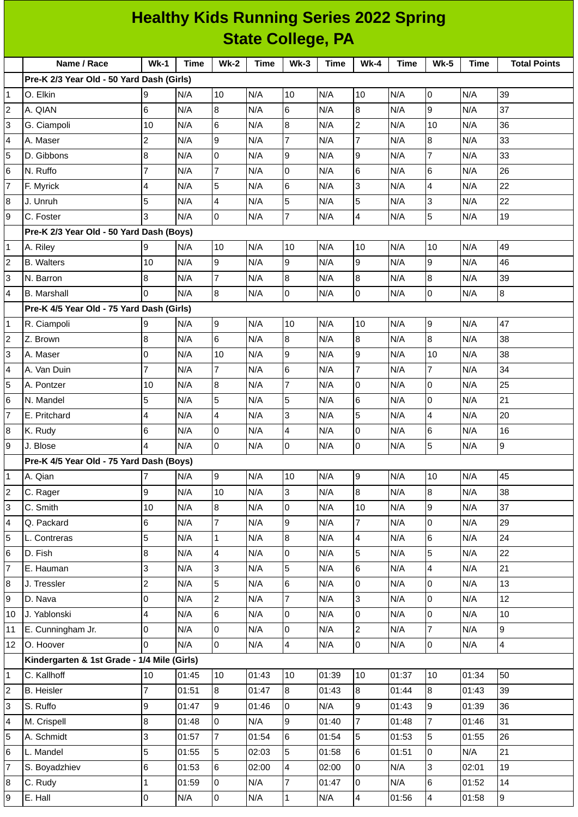| <b>Healthy Kids Running Series 2022 Spring</b> |                                             |                         |                |                |              |                 |             |                  |             |                  |       |                         |
|------------------------------------------------|---------------------------------------------|-------------------------|----------------|----------------|--------------|-----------------|-------------|------------------|-------------|------------------|-------|-------------------------|
| <b>State College, PA</b>                       |                                             |                         |                |                |              |                 |             |                  |             |                  |       |                         |
|                                                | Name / Race                                 | $Wk-1$                  | Time           | <b>Wk-2</b>    | <b>Time</b>  | $Wk-3$          | <b>Time</b> | <b>Wk-4</b>      | <b>Time</b> | <b>Wk-5</b>      | Time  | <b>Total Points</b>     |
|                                                | Pre-K 2/3 Year Old - 50 Yard Dash (Girls)   |                         |                |                |              |                 |             |                  |             |                  |       |                         |
| 1                                              | O. Elkin                                    | 9                       | N/A            | 10             | N/A          | 10              | N/A         | 10               | N/A         | 0                | N/A   | 39                      |
| $\overline{c}$                                 | A. QIAN                                     | 6                       | N/A            | 8              | N/A          | $\,$ 6          | N/A         | $\bf{8}$         | N/A         | $\boldsymbol{9}$ | N/A   | 37                      |
| 3                                              | G. Ciampoli                                 | 10                      | N/A            | 6              | N/A          | $\bf{8}$        | N/A         | $\overline{c}$   | N/A         | 10               | N/A   | 36                      |
| 4                                              | A. Maser                                    | $\overline{c}$          | N/A            | 9              | N/A          | $\overline{7}$  | N/A         | $\overline{7}$   | N/A         | $\bf{8}$         | N/A   | 33                      |
| 5                                              | D. Gibbons                                  | 8                       | N/A            | 0              | N/A          | 9               | N/A         | 9                | N/A         | $\overline{7}$   | N/A   | 33                      |
| 6                                              | N. Ruffo                                    | $\overline{7}$          | N/A            | $\overline{7}$ | N/A          | $\overline{0}$  | N/A         | $6\phantom{.}6$  | N/A         | 6                | N/A   | 26                      |
| 7                                              | F. Myrick                                   | 4                       | N/A            | 5              | N/A          | $6\phantom{.}6$ | N/A         | 3                | N/A         | 4                | N/A   | 22                      |
| 8                                              | J. Unruh                                    | 5                       | N/A            | 4              | N/A          | 5               | N/A         | 5                | N/A         | 3                | N/A   | 22                      |
| 9                                              | C. Foster                                   | 3                       | N/A            | 0              | N/A          | $\overline{7}$  | N/A         | 4                | N/A         | 5                | N/A   | 19                      |
|                                                | Pre-K 2/3 Year Old - 50 Yard Dash (Boys)    |                         |                |                |              |                 |             |                  |             |                  |       |                         |
| $\mathbf 1$                                    | A. Riley                                    | 9                       | N/A            | 10             | N/A          | 10              | N/A         | 10               | N/A         | 10               | N/A   | 49                      |
| $\overline{c}$                                 | <b>B.</b> Walters                           | 10                      | N/A            | 9              | N/A          | 9               | N/A         | 9                | N/A         | 9                | N/A   | 46                      |
| 3                                              | N. Barron                                   | 8                       | N/A            | 7              | N/A          | $\bf{8}$        | N/A         | $\bf{8}$         | N/A         | $\, 8$           | N/A   | 39                      |
| 4                                              | <b>B.</b> Marshall                          | $\overline{0}$          | N/A            | 8              | N/A          | $\overline{0}$  | N/A         | $\mathsf{O}$     | N/A         | 0                | N/A   | 8                       |
|                                                | Pre-K 4/5 Year Old - 75 Yard Dash (Girls)   |                         |                |                |              |                 |             |                  |             |                  |       |                         |
| $\mathbf{1}$                                   | R. Ciampoli                                 | 9                       | N/A            | 9              | N/A          | 10              | N/A         | 10               | N/A         | 9                | N/A   | 47                      |
| 2                                              | Z. Brown                                    | 8                       | N/A            | 6              | N/A          | 8               | N/A         | $\bf{8}$         | N/A         | $\bf{8}$         | N/A   | 38                      |
| 3                                              | A. Maser                                    | $\overline{0}$          | N/A            | 10             | N/A          | 9               | N/A         | $\boldsymbol{9}$ | N/A         | 10               | N/A   | 38                      |
| 4                                              | A. Van Duin                                 | $\overline{7}$          | N/A            | $\overline{7}$ | N/A          | $6\phantom{1}6$ | N/A         | $\overline{7}$   | N/A         | $\overline{7}$   | N/A   | 34                      |
| 5                                              | A. Pontzer                                  | 10                      | N/A            | 8              | N/A          | $\overline{7}$  | N/A         | 0                | N/A         | 0                | N/A   | 25                      |
| 6                                              | N. Mandel                                   | 5                       | N/A            | 5              | N/A          | 5               | N/A         | $6\phantom{.}6$  | N/A         | $\mathsf 0$      | N/A   | 21                      |
| 7                                              | E. Pritchard                                | 4                       | N/A            | 4              | N/A          | 3               | N/A         | 5                | N/A         | 4                | N/A   | 20                      |
| 8                                              | K. Rudy                                     | 6                       | N/A            | 0              | N/A          | $\overline{4}$  | N/A         | 0                | N/A         | 6                | N/A   | 16                      |
| 9                                              | J. Blose                                    | $\pmb{4}$               | N/A            | O              | N/A          | O               | N/A         | 0                | N/A         | $\mathbf 5$      | N/A   | 9                       |
|                                                | Pre-K 4/5 Year Old - 75 Yard Dash (Boys)    |                         |                |                |              |                 |             |                  |             |                  |       |                         |
| $\mathbf{1}$                                   | A. Qian                                     | $\overline{7}$          | N/A            | $9^{\circ}$    | N/A          | 10              | N/A         | 9                | N/A         | 10               | N/A   | 45                      |
| $\overline{\mathbf{c}}$                        | C. Rager                                    | 9                       | N/A            | 10             | N/A          | 3               | N/A         | $\overline{8}$   | N/A         | $\bf{8}$         | N/A   | 38                      |
| 3                                              | C. Smith                                    | 10                      | N/A            | 8              | N/A          | $\mathsf{O}$    | N/A         | 10               | N/A         | $\boldsymbol{9}$ | N/A   | 37                      |
| 4                                              | Q. Packard                                  | $6\phantom{a}$          | N/A            | $\overline{7}$ | N/A          | 9               | N/A         | $\overline{7}$   | N/A         | $\overline{0}$   | N/A   | 29                      |
| 5                                              | L. Contreras                                | 5                       | N/A            | $\mathbf{1}$   | N/A          | $\bf{8}$        | N/A         | $\overline{4}$   | N/A         | 6                | N/A   | 24                      |
| $\,$ 6                                         | D. Fish                                     | 8                       | N/A            | 4              | N/A          | $\pmb{0}$       | N/A         | 5                | N/A         | $\mathbf 5$      | N/A   | 22                      |
| $\overline{7}$                                 | E. Hauman                                   | 3                       | N/A            | 3              | N/A          | 5               | N/A         | $6\phantom{a}$   | N/A         | 4                | N/A   | 21                      |
| 8                                              | J. Tressler                                 | $\overline{c}$          | N/A            | 5              | N/A          | $6\phantom{a}$  | N/A         | $\overline{0}$   | N/A         | 0                | N/A   | 13                      |
| 9                                              | D. Nava                                     | $\mathsf 0$             | N/A            | $\overline{c}$ | N/A          | $\overline{7}$  | N/A         | 3                | N/A         | $\mathsf 0$      | N/A   | 12                      |
| 10                                             | J. Yablonski                                | $\overline{\mathbf{4}}$ | N/A            | 6              | N/A          | $\mathsf{O}$    | N/A         | $\overline{0}$   | N/A         | $\mathsf 0$      | N/A   | 10                      |
| 11                                             | E. Cunningham Jr.                           | $\mathsf 0$             | N/A            | 0              | N/A          | $\pmb{0}$       | N/A         | $\overline{2}$   | N/A         | $\overline{7}$   | N/A   | 9                       |
| 12                                             | O. Hoover                                   | $\overline{0}$          | N/A            | 0              | N/A          | $\overline{4}$  | N/A         | $\overline{0}$   | N/A         | $\overline{0}$   | N/A   | $\overline{\mathbf{4}}$ |
|                                                | Kindergarten & 1st Grade - 1/4 Mile (Girls) |                         |                |                |              |                 |             |                  |             |                  |       |                         |
| $\mathbf{1}$                                   | C. Kallhoff                                 | 10                      | 01:45          | 10             | 01:43        | 10              | 01:39       | 10               | 01:37       | 10               | 01:34 | 50                      |
| $\overline{c}$                                 | <b>B.</b> Heisler                           | $\overline{7}$          | 01:51          | 8              | 01:47        | $\overline{8}$  | 01:43       | $\overline{8}$   | 01:44       | $\bf{8}$         | 01:43 | 39                      |
|                                                | S. Ruffo                                    | 9                       | 01:47          | 9              | 01:46        | $\mathsf{O}$    | N/A         | $\overline{9}$   | 01:43       | 9                | 01:39 | 36                      |
| 3                                              | M. Crispell                                 | 8                       | 01:48          | 0              | N/A          | 9               | 01:40       | $\overline{7}$   |             | $\overline{7}$   | 01:46 | 31                      |
| 4                                              | A. Schmidt                                  | 3                       | 01:57          | $\overline{7}$ | 01:54        | $6\phantom{.}$  | 01:54       | 5                | 01:48       | 5                | 01:55 | 26                      |
| 5<br>6                                         | L. Mandel                                   | 5                       | 01:55          | 5              | 02:03        | 5               | 01:58       | $6\phantom{.}6$  | 01:53       | 0                | N/A   | 21                      |
| 7                                              | S. Boyadzhiev                               | $\,6$                   |                |                |              | 4               | 02:00       | 0                | 01:51       | 3                | 02:01 | 19                      |
| 8                                              | C. Rudy                                     | $\mathbf{1}$            | 01:53<br>01:59 | 6<br>0         | 02:00<br>N/A | $\overline{7}$  | 01:47       | l O              | N/A<br>N/A  | 6                | 01:52 | 14                      |
| 9                                              | E. Hall                                     | $\overline{0}$          | N/A            | $\overline{0}$ | N/A          | $\mathbf{1}$    | N/A         | $\overline{4}$   | 01:56       | 4                | 01:58 | 9                       |
|                                                |                                             |                         |                |                |              |                 |             |                  |             |                  |       |                         |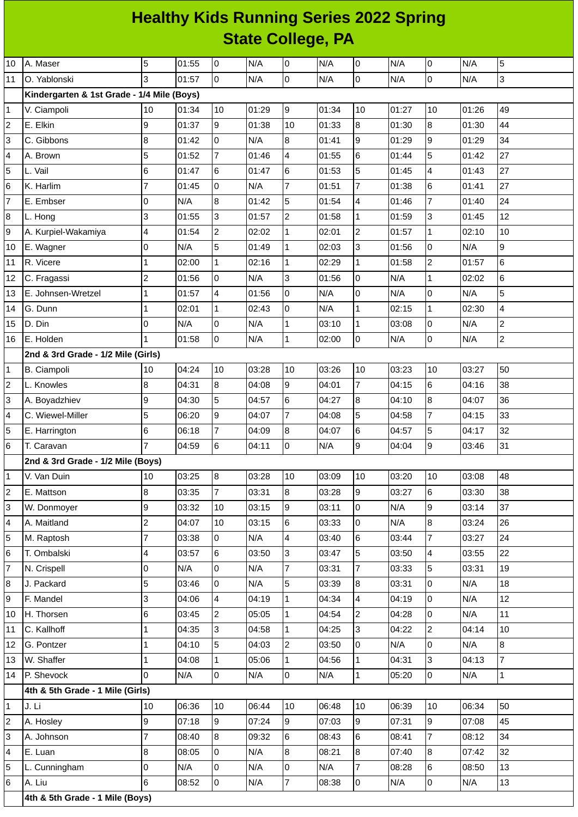## **Healthy Kids Running Series 2022 Spring State College, PA**

| 10             | A. Maser                                   | 5                        | 01:55 | 0              | N/A   | 0              | N/A   | $\overline{0}$ | N/A   | 0              | N/A   | 5              |
|----------------|--------------------------------------------|--------------------------|-------|----------------|-------|----------------|-------|----------------|-------|----------------|-------|----------------|
| 11             | O. Yablonski                               | 3                        | 01:57 | 0              | N/A   | $\overline{0}$ | N/A   | 0              | N/A   | 0              | N/A   | 3              |
|                | Kindergarten & 1st Grade - 1/4 Mile (Boys) |                          |       |                |       |                |       |                |       |                |       |                |
| 1              | V. Ciampoli                                | 10                       | 01:34 | 10             | 01:29 | 9              | 01:34 | 10             | 01:27 | 10             | 01:26 | 49             |
| $\overline{c}$ | E. Elkin                                   | 9                        | 01:37 | 9              | 01:38 | 10             | 01:33 | 8              | 01:30 | 8              | 01:30 | 44             |
| 3              | C. Gibbons                                 | 8                        | 01:42 | $\mathsf{O}$   | N/A   | 8              | 01:41 | 9              | 01:29 | 9              | 01:29 | 34             |
| 4              | A. Brown                                   | 5                        | 01:52 | 7              | 01:46 | 4              | 01:55 | 6              | 01:44 | 5              | 01:42 | 27             |
| 5              | L. Vail                                    | 6                        | 01:47 | 6              | 01:47 | 6              | 01:53 | 5              | 01:45 | 4              | 01:43 | 27             |
| 6              | K. Harlim                                  | $\overline{7}$           | 01:45 | l0             | N/A   | $\overline{7}$ | 01:51 | $\overline{7}$ | 01:38 | 6              | 01:41 | 27             |
| $\overline{7}$ | E. Embser                                  | 0                        | N/A   | 8              | 01:42 | 5              | 01:54 | 4              | 01:46 | $\overline{7}$ | 01:40 | 24             |
| 8              | L. Hong                                    | 3                        | 01:55 | 3              | 01:57 | $\overline{c}$ | 01:58 | $\mathbf{1}$   | 01:59 | 3              | 01:45 | 12             |
| 9              | A. Kurpiel-Wakamiya                        | $\overline{\mathbf{4}}$  | 01:54 | $\overline{c}$ | 02:02 | $\mathbf{1}$   | 02:01 | $\mathbf{2}$   | 01:57 | $\mathbf 1$    | 02:10 | 10             |
| 10             | E. Wagner                                  | $\mathsf 0$              | N/A   | 5              | 01:49 | $\mathbf{1}$   | 02:03 | 3              | 01:56 | 0              | N/A   | 9              |
| 11             | R. Vicere                                  | 1                        | 02:00 | $\mathbf 1$    | 02:16 | $\mathbf{1}$   | 02:29 | $\mathbf{1}$   | 01:58 | $\overline{c}$ | 01:57 | 6              |
| 12             | C. Fragassi                                | $\overline{c}$           | 01:56 | 0              | N/A   | 3              | 01:56 | 0              | N/A   | $\mathbf 1$    | 02:02 | 6              |
| 13             | E. Johnsen-Wretzel                         | $\mathbf 1$              | 01:57 | 4              | 01:56 | 0              | N/A   | 0              | N/A   | 0              | N/A   | 5              |
| 14             | G. Dunn                                    | 1                        | 02:01 | $\mathbf{1}$   | 02:43 | $\mathsf{O}$   | N/A   | $\mathbf{1}$   | 02:15 | $\mathbf 1$    | 02:30 | 4              |
| 15             | D. Din                                     | $\mathsf 0$              | N/A   | 0              | N/A   | 1              | 03:10 | $\mathbf 1$    | 03:08 | 0              | N/A   | $\overline{c}$ |
| 16             | E. Holden                                  | $\mathbf{1}$             | 01:58 | 0              | N/A   | $\mathbf 1$    | 02:00 | 0              | N/A   | 0              | N/A   | $\overline{c}$ |
|                | 2nd & 3rd Grade - 1/2 Mile (Girls)         |                          |       |                |       |                |       |                |       |                |       |                |
| 1              | <b>B.</b> Ciampoli                         | 10                       | 04:24 | 10             | 03:28 | 10             | 03:26 | 10             | 03:23 | 10             | 03:27 | 50             |
| $\overline{c}$ | L. Knowles                                 | 8                        | 04:31 | 8              | 04:08 | 9              | 04:01 | $\overline{7}$ | 04:15 | 6              | 04:16 | 38             |
| 3              | A. Boyadzhiev                              | 9                        | 04:30 | 5              | 04:57 | 6              | 04:27 | 8              | 04:10 | 8              | 04:07 | 36             |
| 4              | C. Wiewel-Miller                           | 5                        | 06:20 | 9              | 04:07 | $\overline{7}$ | 04:08 | 5              | 04:58 | $\overline{7}$ | 04:15 | 33             |
| 5              | E. Harrington                              | 6                        | 06:18 | $\overline{7}$ | 04:09 | 8              | 04:07 | 6              | 04:57 | 5              | 04:17 | 32             |
| 6              | T. Caravan                                 | $\overline{7}$           | 04:59 | 6              | 04:11 | 0              | N/A   | 9              | 04:04 | 9              | 03:46 | 31             |
|                | 2nd & 3rd Grade - 1/2 Mile (Boys)          |                          |       |                |       |                |       |                |       |                |       |                |
| 1              | V. Van Duin                                | 10                       | 03:25 | 8              | 03:28 | 10             | 03:09 | 10             | 03:20 | 10             | 03:08 | 48             |
| 2              | E. Mattson                                 | $\boldsymbol{8}$         | 03:35 | $\overline{7}$ | 03:31 | 8              | 03:28 | 9              | 03:27 | 6              | 03:30 | 38             |
| 3              | W. Donmoyer                                | 9                        | 03:32 | 10             | 03:15 | 9              | 03:11 | 0              | N/A   | 9              | 03:14 | 37             |
| 4              | A. Maitland                                | $\overline{c}$           | 04:07 | 10             | 03:15 | 6              | 03:33 | O              | N/A   | 8              | 03:24 | 26             |
| 5              | M. Raptosh                                 | $\overline{7}$           | 03:38 | $\mathsf{O}$   | N/A   | $\overline{4}$ | 03:40 | $6\phantom{a}$ | 03:44 | $\overline{7}$ | 03:27 | 24             |
| 6              | T. Ombalski                                | $\overline{\mathcal{L}}$ | 03:57 | 6              | 03:50 | 3              | 03:47 | 5              | 03:50 | 4              | 03:55 | 22             |
| $\overline{7}$ | N. Crispell                                | $\overline{0}$           | N/A   | $\mathsf{O}$   | N/A   | $\overline{7}$ | 03:31 | $\overline{7}$ | 03:33 | 5              | 03:31 | 19             |
| 8              | J. Packard                                 | 5                        | 03:46 | 0              | N/A   | 5              | 03:39 | 8              | 03:31 | 0              | N/A   | 18             |
| 9              | F. Mandel                                  | 3                        | 04:06 | 4              | 04:19 | $\mathbf{1}$   | 04:34 | 4              | 04:19 | 0              | N/A   | 12             |
| 10             | H. Thorsen                                 | $\,6$                    | 03:45 | $\overline{c}$ | 05:05 | $\mathbf{1}$   | 04:54 | $\overline{c}$ | 04:28 | 0              | N/A   | 11             |
| 11             | C. Kallhoff                                | $\mathbf{1}$             | 04:35 | 3              | 04:58 | $\mathbf{1}$   | 04:25 | 3              | 04:22 | $\overline{c}$ | 04:14 | 10             |
| 12             | G. Pontzer                                 | $\mathbf 1$              | 04:10 | 5              | 04:03 | $\overline{c}$ | 03:50 | 0              | N/A   | 0              | N/A   | 8              |
| 13             | W. Shaffer                                 | $\mathbf{1}$             | 04:08 | $\mathbf{1}$   | 05:06 | $\mathbf{1}$   | 04:56 | $\mathbf{1}$   | 04:31 | 3              | 04:13 | $\overline{7}$ |
| 14             | P. Shevock                                 | 0                        | N/A   | $\overline{0}$ | N/A   | l0             | N/A   | $\mathbf{1}$   | 05:20 | 0              | N/A   | $\mathbf{1}$   |
|                | 4th & 5th Grade - 1 Mile (Girls)           |                          |       |                |       |                |       |                |       |                |       |                |
| $\mathbf{1}$   | J. Li                                      | 10                       | 06:36 | 10             | 06:44 | 10             | 06:48 | 10             | 06:39 | 10             | 06:34 | 50             |
| $\overline{c}$ | A. Hosley                                  | 9                        | 07:18 | 9              | 07:24 | 9              | 07:03 | 9              | 07:31 | 9              | 07:08 | 45             |
| 3              | A. Johnson                                 | $\overline{7}$           | 08:40 | 8              | 09:32 | 6              | 08:43 | 6              | 08:41 | $\overline{7}$ | 08:12 | 34             |
| 4              | E. Luan                                    | $\boldsymbol{8}$         | 08:05 | 0              | N/A   | 8              | 08:21 | 8              | 07:40 | 8              | 07:42 | 32             |
| 5              | L. Cunningham                              | $\mathsf 0$              | N/A   | $\mathsf{O}$   | N/A   | $\overline{0}$ | N/A   | $\overline{7}$ | 08:28 | 6              | 08:50 | 13             |
| 6              | A. Liu                                     | $6\phantom{a}$           | 08:52 | $\overline{0}$ | N/A   | $\overline{7}$ | 08:38 | 0              | N/A   | $\mathsf{O}$   | N/A   | 13             |
|                | 4th & 5th Grade - 1 Mile (Boys)            |                          |       |                |       |                |       |                |       |                |       |                |